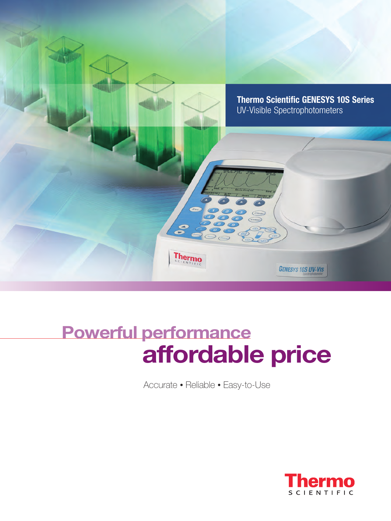

# **Powerful performance affordable price**

Accurate • Reliable • Easy-to-Use

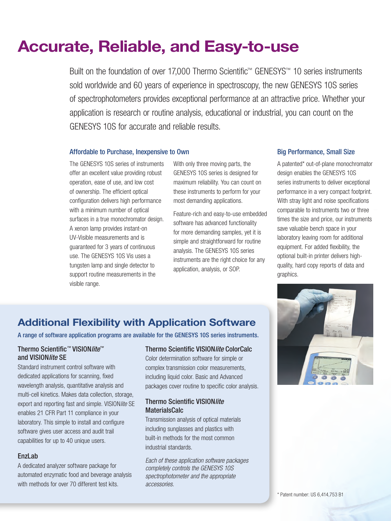## **Accurate, Reliable, and Easy-to-use**

Built on the foundation of over 17,000 Thermo Scientific™ GENESYS™ 10 series instruments sold worldwide and 60 years of experience in spectroscopy, the new GENESYS 10S series of spectrophotometers provides exceptional performance at an attractive price. Whether your application is research or routine analysis, educational or industrial, you can count on the GENESYS 10S for accurate and reliable results.

#### Affordable to Purchase, Inexpensive to Own

The GENESYS 10S series of instruments offer an excellent value providing robust operation, ease of use, and low cost of ownership. The efficient optical configuration delivers high performance with a minimum number of optical surfaces in a true monochromator design. A xenon lamp provides instant-on UV-Visible measurements and is guaranteed for 3 years of continuous use. The GENESYS 10S Vis uses a tungsten lamp and single detector to support routine measurements in the visible range.

With only three moving parts, the GENESYS 10S series is designed for maximum reliability. You can count on these instruments to perform for your most demanding applications.

Feature-rich and easy-to-use embedded software has advanced functionality for more demanding samples, yet it is simple and straightforward for routine analysis. The GENESYS 10S series instruments are the right choice for any application, analysis, or SOP.

#### Big Performance, Small Size

A patented\* out-of-plane monochromator design enables the GENESYS 10S series instruments to deliver exceptional performance in a very compact footprint. With stray light and noise specifications comparable to instruments two or three times the size and price, our instruments save valuable bench space in your laboratory leaving room for additional equipment. For added flexibility, the optional built-in printer delivers highquality, hard copy reports of data and graphics.

### **Additional Flexibility with Application Software**

A range of software application programs are available for the GENESYS 10S series instruments.

#### Thermo Scientific*™* VISION*lite™* and VISION*lite* SE

Standard instrument control software with dedicated applications for scanning, fixed wavelength analysis, quantitative analysis and multi-cell kinetics. Makes data collection, storage, export and reporting fast and simple. VISION*lite* SE enables 21 CFR Part 11 compliance in your laboratory. This simple to install and configure software gives user access and audit trail capabilities for up to 40 unique users.

#### EnzLab

A dedicated analyzer software package for automated enzymatic food and beverage analysis with methods for over 70 different test kits.

#### Thermo Scientific VISION*lite* ColorCalc

Color determination software for simple or complex transmission color measurements, including liquid color. Basic and Advanced packages cover routine to specific color analysis.

#### Thermo Scientific VISION*lite* **MaterialsCalc**

Transmission analysis of optical materials including sunglasses and plastics with built-in methods for the most common industrial standards.

*Each of these application software packages completely controls the GENESYS 10S spectrophotometer and the appropriate accessories.*

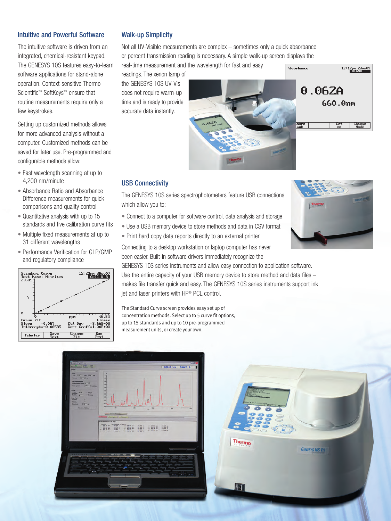#### Intuitive and Powerful Software

The intuitive software is driven from an integrated, chemical-resistant keypad. The GENESYS 10S features easy-to-learn software applications for stand-alone operation. Context-sensitive Thermo Scientific™ SoftKeys™ ensure that routine measurements require only a few keystrokes.

Setting up customized methods allows for more advanced analysis without a computer. Customized methods can be saved for later use. Pre-programmed and configurable methods allow:

- Fast wavelength scanning at up to 4,200 nm/minute
- Absorbance Ratio and Absorbance Difference measurements for quick comparisons and quality control
- Quantitative analysis with up to 15 standards and five calibration curve fits
- Multiple fixed measurements at up to 31 different wavelengths
- Performance Verification for GLP/GMP and regulatory compliance



#### Walk-up Simplicity

Not all UV-Visible measurements are complex – sometimes only a quick absorbance or percent transmission reading is necessary. A simple walk-up screen displays the real-time measurement and the wavelength for fast and easy

readings. The xenon lamp of the GENESYS 10S UV-Vis does not require warm-up time and is ready to provide accurate data instantly.



#### USB Connectivity

The GENESYS 10S series spectrophotometers feature USB connections which allow you to:

- Connect to a computer for software control, data analysis and storage
- Use a USB memory device to store methods and data in CSV format
- Print hard copy data reports directly to an external printer

Set

12:12pm 2Jun09

Change<br>Mode

Connecting to a desktop workstation or laptop computer has never been easier. Built-in software drivers immediately recognize the

GENESYS 10S series instruments and allow easy connection to application software. Use the entire capacity of your USB memory device to store method and data files – makes file transfer quick and easy. The GENESYS 10S series instruments support ink jet and laser printers with HP® PCL control.

The Standard Curve screen provides easy set up of concentration methods. Select up to 5 curve fit options, up to 15 standards and up to 10 pre-programmed measurement units, or create your own.



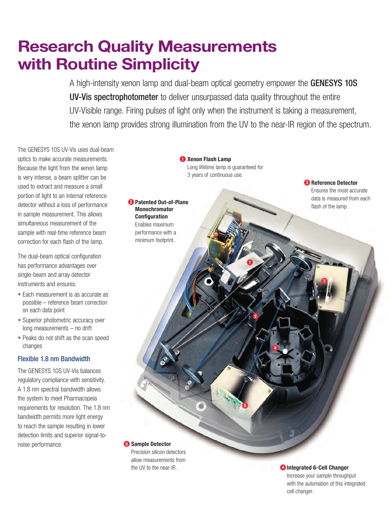## **Research Quality Measurements with Routine Simplicity**

**Patented Out-of-Plane 2 Monochromator Configuration** Enables maximum performance with a minimum footprint.

A high-intensity xenon lamp and dual-beam optical geometry empower the GENESYS 10S UV-Vis spectrophotometer to deliver unsurpassed data quality throughout the entire UV-Visible range. Firing pulses of light only when the instrument is taking a measurement, the xenon lamp provides strong illumination from the UV to the near-IR region of the spectrum.

The GENESYS 10S UV-Vis uses dual-beam optics to make accurate measurements. Because the light from the xenon lamp is very intense, a beam splitter can be used to extract and measure a small portion of light to an internal reference detector without a loss of performance in sample measurement. This allows simultaneous measurement of the sample with real-time reference beam correction for each flash of the lamp.

The dual-beam optical configuration has performance advantages over single-beam and array detector instruments and ensures:

- Each measurement is as accurate as possible – reference beam correction on each data point
- Superior photometric accuracy over long measurements – no drift
- Peaks do not shift as the scan speed changes

#### Flexible 1.8 nm Bandwidth

The GENESYS 10S UV-Vis balances regulatory compliance with sensitivity. A 1.8 nm spectral bandwidth allows the system to meet Pharmacopeia requirements for resolution. The 1.8 nm bandwidth permits more light energy to reach the sample resulting in lower detection limits and superior signal-tonoise performance.

**Xenon Flash Lamp 1** Long lifetime lamp is guaranteed for 3 years of continuous use.

**1**

**2**

**5**

**4**

**Reference Detector 3** Ensures the most accurate data is measured from each flash of the lamp.

**3**

**5** Sample Detector

Precision silicon detectors allow measurements from the UV to the near-IR.

#### *<b>1* Integrated 6-Cell Changer

Increase your sample throughput with the automation of this integrated cell changer.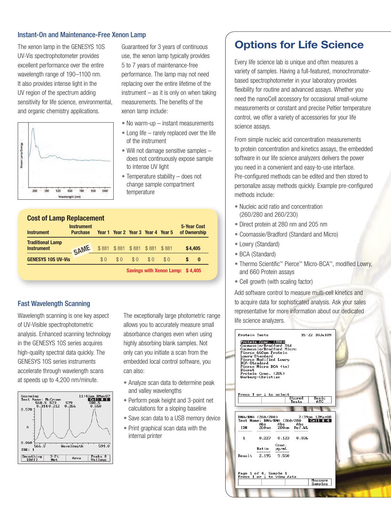#### Instant-On and Maintenance-Free Xenon Lamp

The xenon lamp in the GENESYS 10S UV-Vis spectrophotometer provides excellent performance over the entire wavelength range of 190–1100 nm. It also provides intense light in the UV region of the spectrum adding sensitivity for life science, environmental, and organic chemistry applications.



Guaranteed for 3 years of continuous use, the xenon lamp typically provides 5 to 7 years of maintenance-free performance. The lamp may not need replacing over the entire lifetime of the  $instrument - as it is only on when taking$ measurements. The benefits of the xenon lamp include:

- No warm-up instant measurements
- Long life rarely replaced over the life of the instrument
- Will not damage sensitive samples does not continuously expose sample to intense UV light
- Temperature stability does not change sample compartment temperature

| <b>Cost of Lamp Replacement</b><br><b>Instrument</b> | <b>Instrument</b><br><b>Purchase</b> |     |     | Year 1 Year 2 Year 3 Year 4 Year 5 |     |                                  | <b>5-Year Cost</b><br>of Ownership |          |
|------------------------------------------------------|--------------------------------------|-----|-----|------------------------------------|-----|----------------------------------|------------------------------------|----------|
| <b>Traditional Lamp</b><br><b>Instrument</b>         | SAME                                 |     |     | \$881 \$881 \$881 \$881 \$881      |     |                                  |                                    | \$4,405  |
| <b>GENESYS 10S UV-Vis</b>                            |                                      | \$0 | \$0 | \$0                                | \$0 | \$0                              |                                    | $\bf{0}$ |
|                                                      |                                      |     |     |                                    |     | Savings with Xenon Lamp: \$4,405 |                                    |          |

Fast Wavelength Scanning

Wavelength scanning is one key aspect of UV-Visible spectrophotometric analysis. Enhanced scanning technology in the GENESYS 10S series acquires high-quality spectral data quickly. The GENESYS 10S series instruments accelerate through wavelength scans at speeds up to 4,200 nm/minute.



The exceptionally large photometric range allows you to accurately measure small absorbance changes even when using highly absorbing blank samples. Not only can you initiate a scan from the embedded local control software, you can also:

- Analyze scan data to determine peak and valley wavelengths
- Perform peak height and 3-point net calculations for a sloping baseline
- Save scan data to a USB memory device
- Print graphical scan data with the internal printer

### **Options for Life Science**

Every life science lab is unique and often measures a variety of samples. Having a full-featured, monochromatorbased spectrophotometer in your laboratory provides flexibility for routine and advanced assays. Whether you need the nanoCell accessory for occasional small-volume measurements or constant and precise Peltier temperature control, we offer a variety of accessories for your life science assays.

From simple nucleic acid concentration measurements to protein concentration and kinetics assays, the embedded software in our life science analyzers delivers the power you need in a convenient and easy-to-use interface. Pre-configured methods can be edited and then stored to personalize assay methods quickly. Example pre-configured methods include:

- Nucleic acid ratio and concentration (260/280 and 260/230)
- Direct protein at 280 nm and 205 nm
- Coomassie/Bradford (Standard and Micro)
- Lowry (Standard)
- BCA (Standard)
- Thermo Scientific™ Pierce™ Micro-BCA™, modified Lowry, and 660 Protein assays
- Cell growth (with scaling factor)

Add software control to measure multi-cell kinetics and to acquire data for sophisticated analysis. Ask your sales representative for more information about our dedicated life science analyzers.

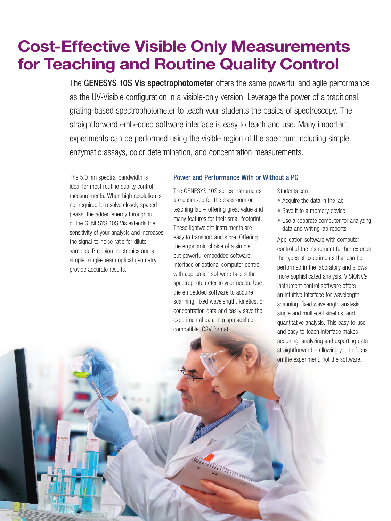## **Cost-Effective Visible Only Measurements for Teaching and Routine Quality Control**

The GENESYS 10S Vis spectrophotometer offers the same powerful and agile performance as the UV-Visible configuration in a visible-only version. Leverage the power of a traditional, grating-based spectrophotometer to teach your students the basics of spectroscopy. The straightforward embedded software interface is easy to teach and use. Many important experiments can be performed using the visible region of the spectrum including simple enzymatic assays, color determination, and concentration measurements.

The 5.0 nm spectral bandwidth is ideal for most routine quality control measurements. When high resolution is not required to resolve closely spaced peaks, the added energy throughput of the GENESYS 10S Vis extends the sensitivity of your analysis and increases the signal-to-noise ratio for dilute samples. Precision electronics and a simple, single-beam optical geometry provide accurate results.

#### Power and Performance With or Without a PC

The GENESYS 10S series instruments are optimized for the classroom or teaching lab – offering great value and many features for their small footprint. These lightweight instruments are easy to transport and store. Offering the ergonomic choice of a simple, but powerful embedded software interface or optional computer control with application software tailors the spectrophotometer to your needs. Use the embedded software to acquire scanning, fixed wavelength, kinetics, or concentration data and easily save the experimental data in a spreadsheetcompatible, CSV format.

Students can:

- Acquire the data in the lab
- Save it to a memory device
- Use a separate computer for analyzing data and writing lab reports

Application software with computer control of the instrument further extends the types of experiments that can be performed in the laboratory and allows more sophisticated analysis. VISION*lite* instrument control software offers an intuitive interface for wavelength scanning, fixed wavelength analysis, single and multi-cell kinetics, and quantitative analysis. This easy-to-use and easy-to-teach interface makes acquiring, analyzing and exporting data straightforward – allowing you to focus on the experiment, not the software.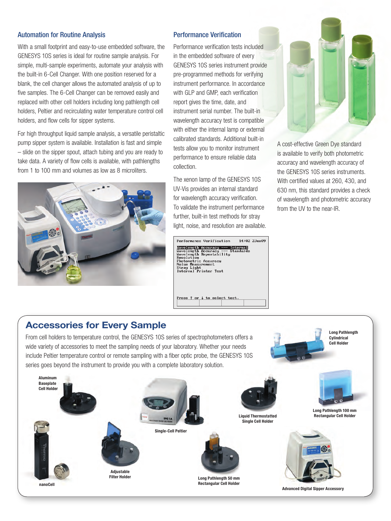#### Automation for Routine Analysis

With a small footprint and easy-to-use embedded software, the GENESYS 10S series is ideal for routine sample analysis. For simple, multi-sample experiments, automate your analysis with the built-in 6-Cell Changer. With one position reserved for a blank, the cell changer allows the automated analysis of up to five samples. The 6-Cell Changer can be removed easily and replaced with other cell holders including long pathlength cell holders, Peltier and recirculating water temperature control cell holders, and flow cells for sipper systems.

For high throughput liquid sample analysis, a versatile peristaltic pump sipper system is available. Installation is fast and simple – slide on the sipper spout, attach tubing and you are ready to take data. A variety of flow cells is available, with pathlengths from 1 to 100 mm and volumes as low as 8 microliters.



#### Performance Verification

Performance verification tests included in the embedded software of every GENESYS 10S series instrument provide pre-programmed methods for verifying instrument performance. In accordance with GLP and GMP, each verification report gives the time, date, and instrument serial number. The built-in wavelength accuracy test is compatible with either the internal lamp or external calibrated standards. Additional built-in tests allow you to monitor instrument performance to ensure reliable data collection.

The xenon lamp of the GENESYS 10S UV-Vis provides an internal standard for wavelength accuracy verification. To validate the instrument performance further, built-in test methods for stray light, noise, and resolution are available.

Performance Verification 14:02 2Jun09 Mavelength Accuracy --- Internal<br>Mavelength Accuracy --- Standards Example Accuracy --- S<br>Mavelength Accuracy --- S<br>Mavelength Repeatability<br>Resolution<br>Photometric Accuracy<br>Stray Light<br>Internal Printer Test

Press ↑ or ↓ to select test



A cost-effective Green Dye standard is available to verify both photometric accuracy and wavelength accuracy of the GENESYS 10S series instruments. With certified values at 260, 430, and 630 nm, this standard provides a check of wavelength and photometric accuracy from the UV to the near-IR.

> **Long Pathlength Cylindrical Cell Holder**

### **Accessories for Every Sample**

From cell holders to temperature control, the GENESYS 10S series of spectrophotometers offers a wide variety of accessories to meet the sampling needs of your laboratory. Whether your needs include Peltier temperature control or remote sampling with a fiber optic probe, the GENESYS 10S series goes beyond the instrument to provide you with a complete laboratory solution.